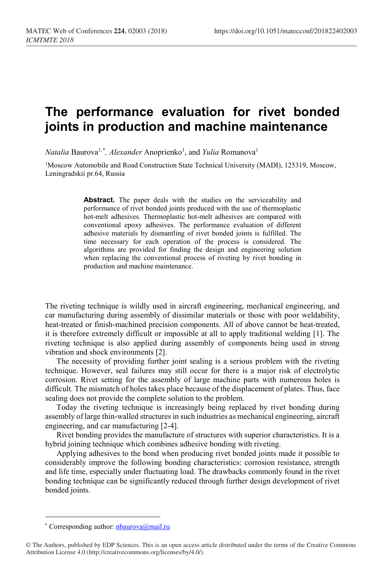## **The performance evaluation for rivet bonded joints in production and machine maintenance**

*Natalia* Baurova<sup>1,[\\*](#page-0-0)</sup>, Alexander Anoprienko<sup>1</sup>, and *Yulia* Romanova<sup>1</sup>

<sup>1</sup>Moscow Automobile and Road Construction State Technical University (MADI), 125319, Moscow, Leningradskii pr.64, Russia

> Abstract. The paper deals with the studies on the serviceability and performance of rivet bonded joints produced with the use of thermoplastic hot-melt adhesives. Thermoplastic hot-melt adhesives are compared with conventional epoxy adhesives. The performance evaluation of different adhesive materials by dismantling of rivet bonded joints is fulfilled. The time necessary for each operation of the process is considered. The algorithms are provided for finding the design and engineering solution when replacing the conventional process of riveting by rivet bonding in production and machine maintenance.

The riveting technique is wildly used in aircraft engineering, mechanical engineering, and car manufacturing during assembly of dissimilar materials or those with poor weldability, heat-treated or finish-machined precision components. All of above cannot be heat-treated, it is therefore extremely difficult or impossible at all to apply traditional welding [1]. The riveting technique is also applied during assembly of components being used in strong vibration and shock environments [2].

The necessity of providing further joint sealing is a serious problem with the riveting technique. However, seal failures may still occur for there is a major risk of electrolytic corrosion. Rivet setting for the assembly of large machine parts with numerous holes is difficult. The mismatch of holes takes place because of the displacement of plates. Thus, face sealing does not provide the complete solution to the problem.

Today the riveting technique is increasingly being replaced by rivet bonding during assembly of large thin-walled structures in such industries as mechanical engineering, aircraft engineering, and car manufacturing [2-4].

Rivet bonding provides the manufacture of structures with superior characteristics. It is a hybrid joining technique which combines adhesive bonding with riveting.

Applying adhesives to the bond when producing rivet bonded joints made it possible to considerably improve the following bonding characteristics: corrosion resistance, strength and life time, especially under fluctuating load. The drawbacks commonly found in the rivet bonding technique can be significantly reduced through further design development of rivet bonded joints.

i<br>I \* Corresponding author: **nbaurova**@mail.ru

<span id="page-0-0"></span><sup>©</sup> The Authors, published by EDP Sciences. This is an open access article distributed under the terms of the Creative Commons Attribution License 4.0 (http://creativecommons.org/licenses/by/4.0/).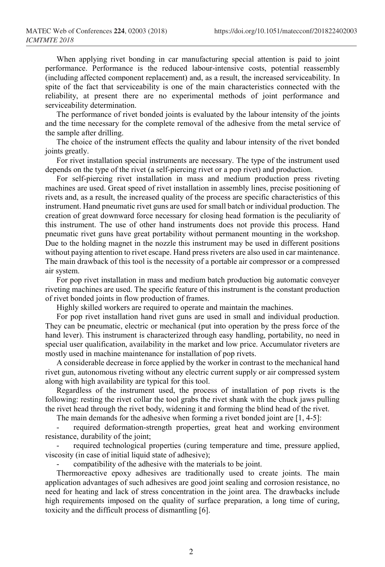When applying rivet bonding in car manufacturing special attention is paid to joint performance. Performance is the reduced labour-intensive costs, potential reassembly (including affected component replacement) and, as a result, the increased serviceability. In spite of the fact that serviceability is one of the main characteristics connected with the reliability, at present there are no experimental methods of joint performance and serviceability determination.

The performance of rivet bonded joints is evaluated by the labour intensity of the joints and the time necessary for the complete removal of the adhesive from the metal service of the sample after drilling.

The choice of the instrument effects the quality and labour intensity of the rivet bonded joints greatly.

For rivet installation special instruments are necessary. The type of the instrument used depends on the type of the rivet (a self-piercing rivet or a pop rivet) and production.

For self-piercing rivet installation in mass and medium production press riveting machines are used. Great speed of rivet installation in assembly lines, precise positioning of rivets and, as a result, the increased quality of the process are specific characteristics of this instrument. Hand pneumatic rivet guns are used for small batch or individual production. The creation of great downward force necessary for closing head formation is the peculiarity of this instrument. The use of other hand instruments does not provide this process. Hand pneumatic rivet guns have great portability without permanent mounting in the workshop. Due to the holding magnet in the nozzle this instrument may be used in different positions without paying attention to rivet escape. Hand press riveters are also used in car maintenance. The main drawback of this tool is the necessity of a portable air compressor or a compressed air system.

For pop rivet installation in mass and medium batch production big automatic conveyer riveting machines are used. The specific feature of this instrument is the constant production of rivet bonded joints in flow production of frames.

Highly skilled workers are required to operate and maintain the machines.

For pop rivet installation hand rivet guns are used in small and individual production. They can be pneumatic, electric or mechanical (put into operation by the press force of the hand lever). This instrument is characterized through easy handling, portability, no need in special user qualification, availability in the market and low price. Accumulator riveters are mostly used in machine maintenance for installation of pop rivets.

A considerable decrease in force applied by the worker in contrast to the mechanical hand rivet gun, autonomous riveting without any electric current supply or air compressed system along with high availability are typical for this tool.

Regardless of the instrument used, the process of installation of pop rivets is the following: resting the rivet collar the tool grabs the rivet shank with the chuck jaws pulling the rivet head through the rivet body, widening it and forming the blind head of the rivet.

The main demands for the adhesive when forming a rivet bonded joint are [1, 4-5]:

required deformation-strength properties, great heat and working environment resistance, durability of the joint;

required technological properties (curing temperature and time, pressure applied, viscosity (in case of initial liquid state of adhesive);

compatibility of the adhesive with the materials to be joint.

Thermoreactive epoxy adhesives are traditionally used to create joints. The main application advantages of such adhesives are good joint sealing and corrosion resistance, no need for heating and lack of stress concentration in the joint area. The drawbacks include high requirements imposed on the quality of surface preparation, a long time of curing, toxicity and the difficult process of dismantling [6].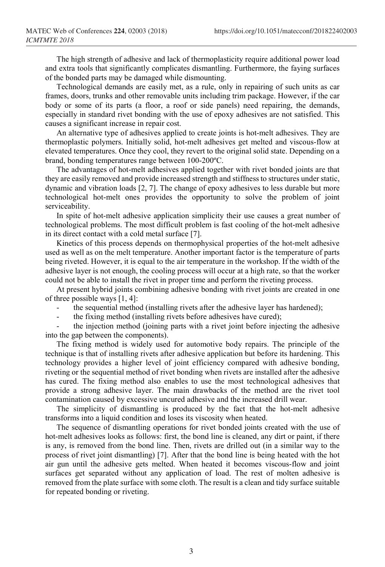The high strength of adhesive and lack of thermoplasticity require additional power load and extra tools that significantly complicates dismantling. Furthermore, the faying surfaces of the bonded parts may be damaged while dismounting.

Technological demands are easily met, as a rule, only in repairing of such units as car frames, doors, trunks and other removable units including trim package. However, if the car body or some of its parts (a floor, a roof or side panels) need repairing, the demands, especially in standard rivet bonding with the use of epoxy adhesives are not satisfied. This causes a significant increase in repair cost.

An alternative type of adhesives applied to create joints is hot-melt adhesives. They are thermoplastic polymers. Initially solid, hot-melt adhesives get melted and viscous-flow at elevated temperatures. Once they cool, they revert to the original solid state. Depending on a brand, bonding temperatures range between 100-200ºC.

The advantages of hot-melt adhesives applied together with rivet bonded joints are that they are easily removed and provide increased strength and stiffness to structures under static, dynamic and vibration loads [2, 7]. The change of epoxy adhesives to less durable but more technological hot-melt ones provides the opportunity to solve the problem of joint serviceability.

In spite of hot-melt adhesive application simplicity their use causes a great number of technological problems. The most difficult problem is fast cooling of the hot-melt adhesive in its direct contact with a cold metal surface [7].

Kinetics of this process depends on thermophysical properties of the hot-melt adhesive used as well as on the melt temperature. Another important factor is the temperature of parts being riveted. However, it is equal to the air temperature in the workshop. If the width of the adhesive layer is not enough, the cooling process will occur at a high rate, so that the worker could not be able to install the rivet in proper time and perform the riveting process.

At present hybrid joints combining adhesive bonding with rivet joints are created in one of three possible ways  $[1, 4]$ :

- the sequential method (installing rivets after the adhesive layer has hardened);
- the fixing method (installing rivets before adhesives have cured);

the injection method (joining parts with a rivet joint before injecting the adhesive into the gap between the components).

The fixing method is widely used for automotive body repairs. The principle of the technique is that of installing rivets after adhesive application but before its hardening. This technology provides a higher level of joint efficiency compared with adhesive bonding, riveting or the sequential method of rivet bonding when rivets are installed after the adhesive has cured. The fixing method also enables to use the most technological adhesives that provide a strong adhesive layer. The main drawbacks of the method are the rivet tool contamination caused by excessive uncured adhesive and the increased drill wear.

The simplicity of dismantling is produced by the fact that the hot-melt adhesive transforms into a liquid condition and loses its viscosity when heated.

The sequence of dismantling operations for rivet bonded joints created with the use of hot-melt adhesives looks as follows: first, the bond line is cleaned, any dirt or paint, if there is any, is removed from the bond line. Then, rivets are drilled out (in a similar way to the process of rivet joint dismantling) [7]. After that the bond line is being heated with the hot air gun until the adhesive gets melted. When heated it becomes viscous-flow and joint surfaces get separated without any application of load. The rest of molten adhesive is removed from the plate surface with some cloth. The result is a clean and tidy surface suitable for repeated bonding or riveting.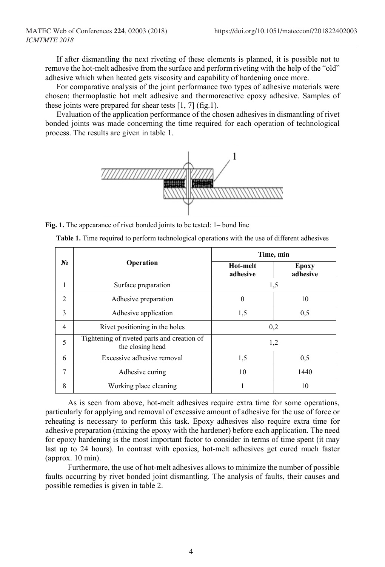If after dismantling the next riveting of these elements is planned, it is possible not to remove the hot-melt adhesive from the surface and perform riveting with the help of the "old" adhesive which when heated gets viscosity and capability of hardening once more.

For comparative analysis of the joint performance two types of adhesive materials were chosen: thermoplastic hot melt adhesive and thermoreactive epoxy adhesive. Samples of these joints were prepared for shear tests [1, 7] (fig.1).

Evaluation of the application performance of the chosen adhesives in dismantling of rivet bonded joints was made concerning the time required for each operation of technological process. The results are given in table 1.



**Fig. 1.** The appearance of rivet bonded joints to be tested: 1– bond line

| <b>Table 1.</b> Time required to perform technological operations with the use of different adhesives |  |
|-------------------------------------------------------------------------------------------------------|--|
|                                                                                                       |  |

|                |                                                                 | Time, min            |                   |  |
|----------------|-----------------------------------------------------------------|----------------------|-------------------|--|
| N°             | Operation                                                       | Hot-melt<br>adhesive | Epoxy<br>adhesive |  |
| 1              | Surface preparation                                             | 1.5                  |                   |  |
| $\overline{2}$ | Adhesive preparation                                            | $\theta$             | 10                |  |
| 3              | Adhesive application                                            | 1,5                  | 0,5               |  |
| 4              | Rivet positioning in the holes                                  | 0,2                  |                   |  |
| 5              | Tightening of riveted parts and creation of<br>the closing head |                      | 1,2               |  |
| 6              | Excessive adhesive removal                                      | 1,5                  | 0,5               |  |
| 7              | Adhesive curing                                                 | 10                   | 1440              |  |
| 8              | Working place cleaning                                          |                      | 10                |  |

As is seen from above, hot-melt adhesives require extra time for some operations, particularly for applying and removal of excessive amount of adhesive for the use of force or reheating is necessary to perform this task. Epoxy adhesives also require extra time for adhesive preparation (mixing the epoxy with the hardener) before each application. The need for epoxy hardening is the most important factor to consider in terms of time spent (it may last up to 24 hours). In contrast with epoxies, hot-melt adhesives get cured much faster (approx. 10 min).

Furthermore, the use of hot-melt adhesives allows to minimize the number of possible faults occurring by rivet bonded joint dismantling. The analysis of faults, their causes and possible remedies is given in table 2.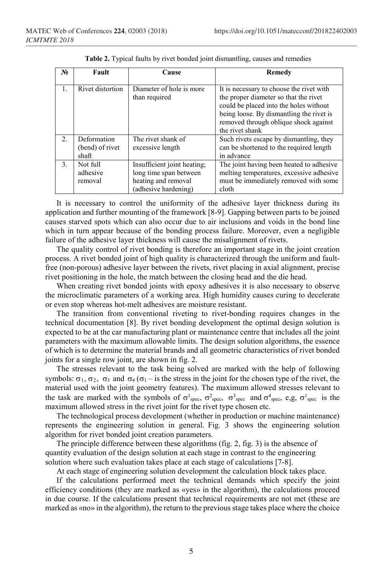| $N_2$          | Fault                                   | Cause                                                                                                | <b>Remedy</b>                                                                                                                                                                                                                       |
|----------------|-----------------------------------------|------------------------------------------------------------------------------------------------------|-------------------------------------------------------------------------------------------------------------------------------------------------------------------------------------------------------------------------------------|
| 1.             | Rivet distortion                        | Diameter of hole is more<br>than required                                                            | It is necessary to choose the rivet with<br>the proper diameter so that the rivet<br>could be placed into the holes without<br>being loose. By dismantling the rivet is<br>removed through oblique shock against<br>the rivet shank |
| 2.             | Deformation<br>(bend) of rivet<br>shaft | The rivet shank of<br>excessive length                                                               | Such rivets escape by dismantling, they<br>can be shortened to the required length<br>in advance                                                                                                                                    |
| 3 <sub>1</sub> | Not full<br>adhesive<br>removal         | Insufficient joint heating;<br>long time span between<br>heating and removal<br>(adhesive hardening) | The joint having been heated to adhesive<br>melting temperatures, excessive adhesive<br>must be immediately removed with some<br>cloth                                                                                              |

**Table 2.** Typical faults by rivet bonded joint dismantling, causes and remedies

It is necessary to control the uniformity of the adhesive layer thickness during its application and further mounting of the framework [8-9]. Gapping between parts to be joined causes starved spots which can also occur due to air inclusions and voids in the bond line which in turn appear because of the bonding process failure. Moreover, even a negligible failure of the adhesive layer thickness will cause the misalignment of rivets.

The quality control of rivet bonding is therefore an important stage in the joint creation process. A rivet bonded joint of high quality is characterized through the uniform and faultfree (non-porous) adhesive layer between the rivets, rivet placing in axial alignment, precise rivet positioning in the hole, the match between the closing head and the die head.

When creating rivet bonded joints with epoxy adhesives it is also necessary to observe the microclimatic parameters of a working area. High humidity causes curing to decelerate or even stop whereas hot-melt adhesives are moisture resistant.

The transition from conventional riveting to rivet-bonding requires changes in the technical documentation [8]. By rivet bonding development the optimal design solution is expected to be at the car manufacturing plant or maintenance centre that includes all the joint parameters with the maximum allowable limits. The design solution algorithms, the essence of which is to determine the material brands and all geometric characteristics of rivet bonded joints for a single row joint, are shown in fig. 2.

The stresses relevant to the task being solved are marked with the help of following symbols:  $\sigma_1$ ,  $\sigma_2$ ,  $\sigma_3$  and  $\sigma_4$  ( $\sigma_1$  – is the stress in the joint for the chosen type of the rivet, the material used with the joint geometry features). The maximum allowed stresses relevant to the task are marked with the symbols of  $\sigma_{\text{spec}}^1$ ,  $\sigma_{\text{spec}}^2$ ,  $\sigma_{\text{spec}}^3$ ,  $\sigma_{\text{spec}}^4$ ,  $\sigma_{\text{spec}}^4$ ,  $\sigma_{\text{spec}}^1$  is the maximum allowed stress in the rivet joint for the rivet type chosen etc.

The technological process development (whether in production or machine maintenance) represents the engineering solution in general. Fig. 3 shows the engineering solution algorithm for rivet bonded joint creation parameters.

The principle difference between these algorithms (fig. 2, fig. 3) is the absence of quantity evaluation of the design solution at each stage in contrast to the engineering solution where such evaluation takes place at each stage of calculations [7-8].

At each stage of engineering solution development the calculation block takes place.

If the calculations performed meet the technical demands which specify the joint efficiency conditions (they are marked as «yes» in the algorithm), the calculations proceed in due course. If the calculations present that technical requirements are not met (these are marked as «no» in the algorithm), the return to the previousstage takes place where the choice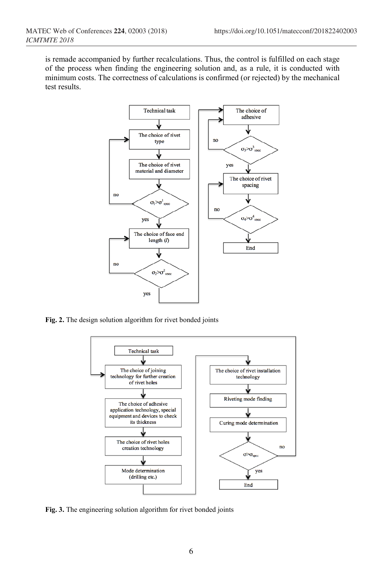is remade accompanied by further recalculations. Thus, the control is fulfilled on each stage of the process when finding the engineering solution and, as a rule, it is conducted with minimum costs. The correctness of calculations is confirmed (or rejected) by the mechanical test results.



**Fig. 2.** The design solution algorithm for rivet bonded joints



Fig. 3. The engineering solution algorithm for rivet bonded joints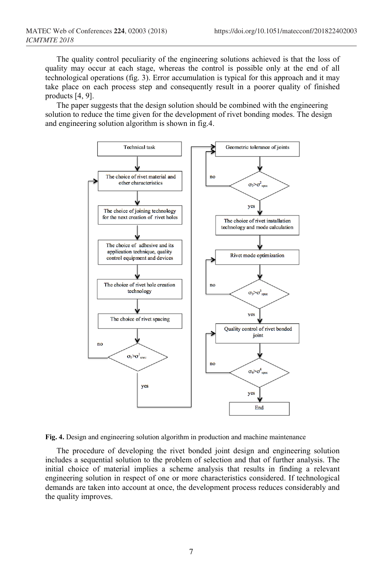The quality control peculiarity of the engineering solutions achieved is that the loss of quality may occur at each stage, whereas the control is possible only at the end of all technological operations (fig. 3). Error accumulation is typical for this approach and it may take place on each process step and consequently result in a poorer quality of finished products [4, 9].

The paper suggests that the design solution should be combined with the engineering solution to reduce the time given for the development of rivet bonding modes. The design and engineering solution algorithm is shown in fig.4.



**Fig. 4.** Design and engineering solution algorithm in production and machine maintenance

The procedure of developing the rivet bonded joint design and engineering solution includes a sequential solution to the problem of selection and that of further analysis. The initial choice of material implies a scheme analysis that results in finding a relevant engineering solution in respect of one or more characteristics considered. If technological demands are taken into account at once, the development process reduces considerably and the quality improves.